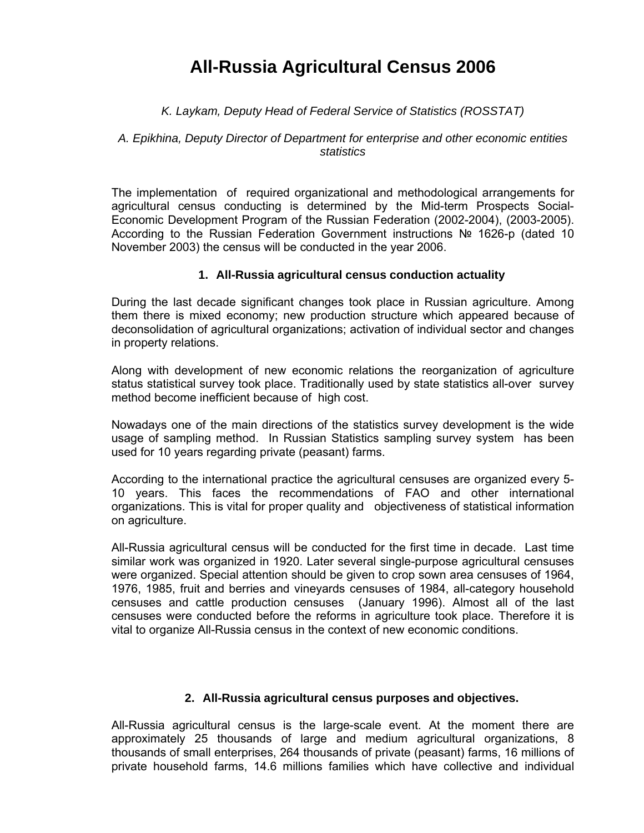# **All-Russia Agricultural Census 2006**

### *K. Laykam, Deputy Head of Federal Service of Statistics (ROSSTAT)*

#### *A. Epikhina, Deputy Director of Department for enterprise and other economic entities statistics*

The implementation of required organizational and methodological arrangements for agricultural census conducting is determined by the Mid-term Prospects Social-Economic Development Program of the Russian Federation (2002-2004), (2003-2005). According to the Russian Federation Government instructions № 1626-p (dated 10 November 2003) the census will be conducted in the year 2006.

#### **1. All-Russia agricultural census conduction actuality**

During the last decade significant changes took place in Russian agriculture. Among them there is mixed economy; new production structure which appeared because of deconsolidation of agricultural organizations; activation of individual sector and changes in property relations.

Along with development of new economic relations the reorganization of agriculture status statistical survey took place. Traditionally used by state statistics all-over survey method become inefficient because of high cost.

Nowadays one of the main directions of the statistics survey development is the wide usage of sampling method. In Russian Statistics sampling survey system has been used for 10 years regarding private (peasant) farms.

According to the international practice the agricultural censuses are organized every 5- 10 years. This faces the recommendations of FAO and other international organizations. This is vital for proper quality and objectiveness of statistical information on agriculture.

All-Russia agricultural census will be conducted for the first time in decade. Last time similar work was organized in 1920. Later several single-purpose agricultural censuses were organized. Special attention should be given to crop sown area censuses of 1964, 1976, 1985, fruit and berries and vineyards censuses of 1984, all-category household censuses and cattle production censuses (January 1996). Almost all of the last censuses were conducted before the reforms in agriculture took place. Therefore it is vital to organize All-Russia census in the context of new economic conditions.

#### **2. All-Russia agricultural census purposes and objectives.**

All-Russia agricultural census is the large-scale event. At the moment there are approximately 25 thousands of large and medium agricultural organizations, 8 thousands of small enterprises, 264 thousands of private (peasant) farms, 16 millions of private household farms, 14.6 millions families which have collective and individual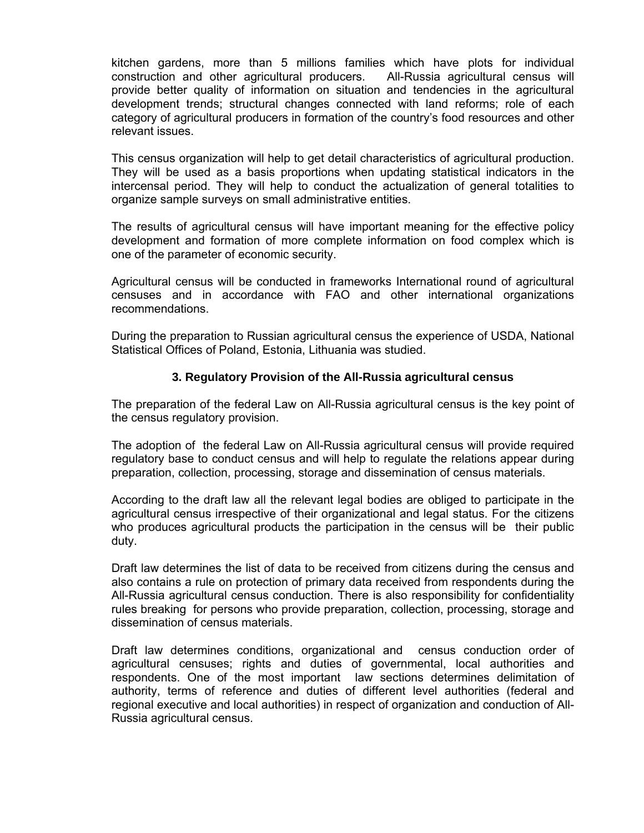kitchen gardens, more than 5 millions families which have plots for individual construction and other agricultural producers. All-Russia agricultural census will provide better quality of information on situation and tendencies in the agricultural development trends; structural changes connected with land reforms; role of each category of agricultural producers in formation of the country's food resources and other relevant issues.

This census organization will help to get detail characteristics of agricultural production. They will be used as a basis proportions when updating statistical indicators in the intercensal period. They will help to conduct the actualization of general totalities to organize sample surveys on small administrative entities.

The results of agricultural census will have important meaning for the effective policy development and formation of more complete information on food complex which is one of the parameter of economic security.

Agricultural census will be conducted in frameworks International round of agricultural censuses and in accordance with FAO and other international organizations recommendations.

During the preparation to Russian agricultural census the experience of USDA, National Statistical Offices of Poland, Estonia, Lithuania was studied.

#### **3. Regulatory Provision of the All-Russia agricultural census**

The preparation of the federal Law on All-Russia agricultural census is the key point of the census regulatory provision.

The adoption of the federal Law on All-Russia agricultural census will provide required regulatory base to conduct census and will help to regulate the relations appear during preparation, collection, processing, storage and dissemination of census materials.

According to the draft law all the relevant legal bodies are obliged to participate in the agricultural census irrespective of their organizational and legal status. For the citizens who produces agricultural products the participation in the census will be their public duty.

Draft law determines the list of data to be received from citizens during the census and also contains a rule on protection of primary data received from respondents during the All-Russia agricultural census conduction. There is also responsibility for confidentiality rules breaking for persons who provide preparation, collection, processing, storage and dissemination of census materials.

Draft law determines conditions, organizational and census conduction order of agricultural censuses; rights and duties of governmental, local authorities and respondents. One of the most important law sections determines delimitation of authority, terms of reference and duties of different level authorities (federal and regional executive and local authorities) in respect of organization and conduction of All-Russia agricultural census.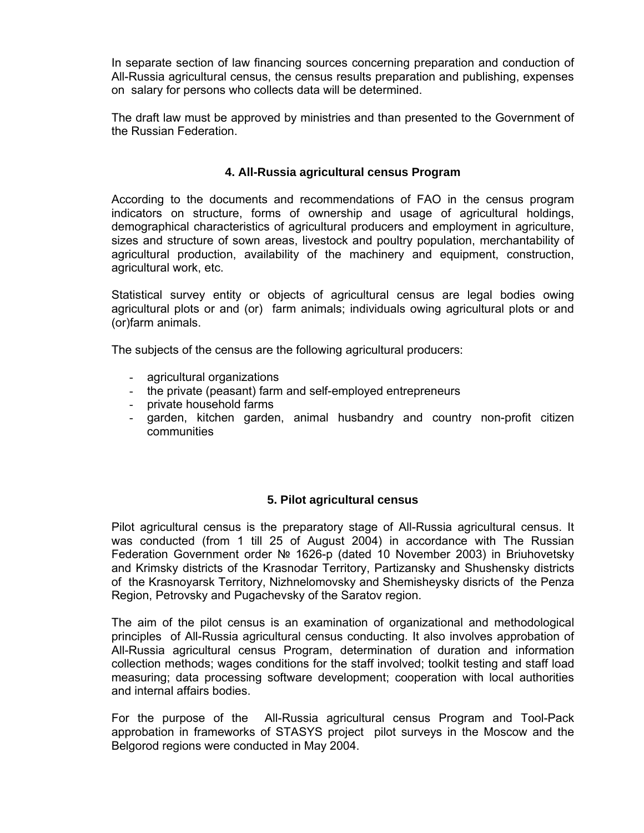In separate section of law financing sources concerning preparation and conduction of All-Russia agricultural census, the census results preparation and publishing, expenses on salary for persons who collects data will be determined.

The draft law must be approved by ministries and than presented to the Government of the Russian Federation.

## **4. All-Russia agricultural census Program**

According to the documents and recommendations of FAO in the census program indicators on structure, forms of ownership and usage of agricultural holdings, demographical characteristics of agricultural producers and employment in agriculture, sizes and structure of sown areas, livestock and poultry population, merchantability of agricultural production, availability of the machinery and equipment, construction, agricultural work, etc.

Statistical survey entity or objects of agricultural census are legal bodies owing agricultural plots or and (or) farm animals; individuals owing agricultural plots or and (or)farm animals.

The subjects of the census are the following agricultural producers:

- agricultural organizations
- the private (peasant) farm and self-employed entrepreneurs
- private household farms
- garden, kitchen garden, animal husbandry and country non-profit citizen communities

#### **5. Pilot agricultural census**

Pilot agricultural census is the preparatory stage of All-Russia agricultural census. It was conducted (from 1 till 25 of August 2004) in accordance with The Russian Federation Government order № 1626-p (dated 10 November 2003) in Briuhovetsky and Krimsky districts of the Krasnodar Territory, Partizansky and Shushensky districts of the Krasnoyarsk Territory, Nizhnelomovsky and Shemisheysky disricts of the Penza Region, Petrovsky and Pugachevsky of the Saratov region.

The aim of the pilot census is an examination of organizational and methodological principles of All-Russia agricultural census conducting. It also involves approbation of All-Russia agricultural census Program, determination of duration and information collection methods; wages conditions for the staff involved; toolkit testing and staff load measuring; data processing software development; cooperation with local authorities and internal affairs bodies.

For the purpose of the All-Russia agricultural census Program and Tool-Pack approbation in frameworks of STASYS project pilot surveys in the Moscow and the Belgorod regions were conducted in May 2004.